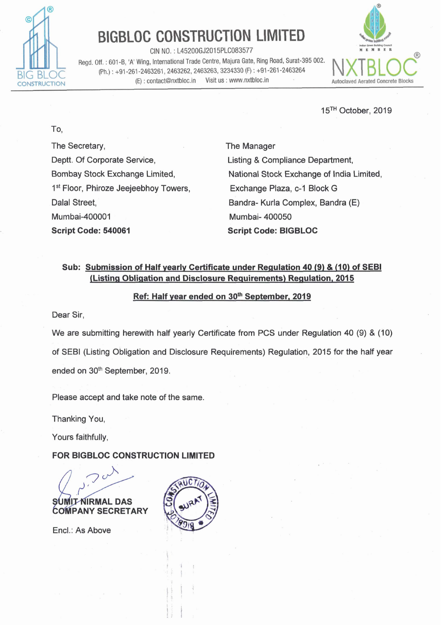

# BIGBLOC CONSTRUCTION LIMITED

CIN NO. : L45200GJ2015PLC083577 **mauh**  Regd. Off. : 601-B, 'A' Wing, International Trade Centre, Majura Gate, Ring Road, Surat-395 002. Ph.) : +91-261-2463261, 2463262, 2463263, 3234330 (F) : +91-261-2463264 (E) : contact@nxtbloc.in Visit us : www.nxtbloc.in



15<sup>TH</sup> October, 2019

To,

The Secretary, Deptt. Of Corporate Service, Bombay Stock Exchange Limited, 1<sup>st</sup> Floor, Phiroze Jeejeebhoy Towers, Dalal Street, Mumbai-400001 **Script Code: 540061** 

The Manager Listing & Compliance Department, National Stock Exchange of India Limited, Exchange Plaza, c-I Block G Bandra- Kurla Complex, Bandra (E) Mumbai- 400050 **Script Code: BIGBLOC** 

## **Sub: Submission of Half vearlv Certificate under Reaulation 40 (9)** & **(10) of SEBl**  / **Listina Obliaation and Disclosure Reauirements) Reaulation, 2015**

#### **Ref: Half vear ended on 30fh September. 2019**

Dear Sir,

We are submitting herewith half yearly Certificate from PCS under Regulation 40 (9) & (10) of SEBI (Listing Obligation and Disclosure Requirements) Regulation, 2015 for the half year ended on 30<sup>th</sup> September, 2019.

Please accept and take note of the same.

Thanking You,

Yours faithfully,

**FOR BIGBLOC CONSTRUCTION LIMITED** 

SUMIT NIRMAL DAS **COMPANY SECRETARY** 

Encl.: As Above